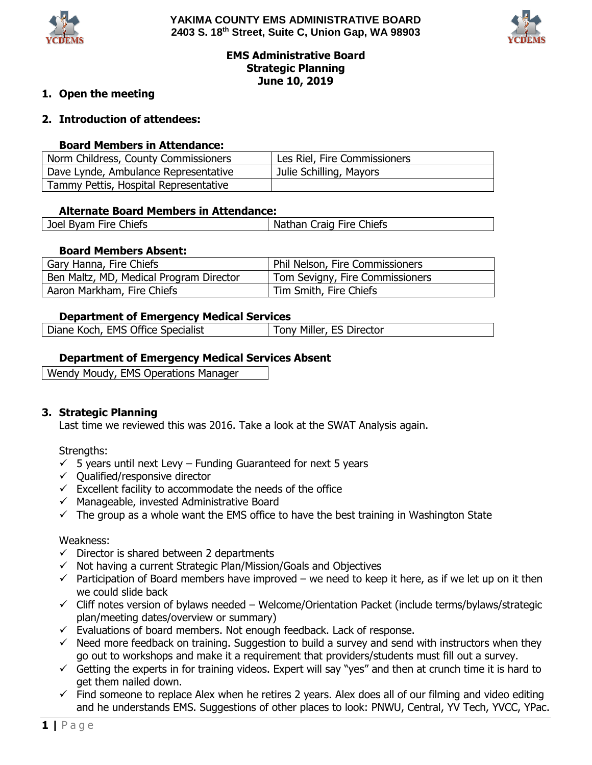



# **EMS Administrative Board Strategic Planning June 10, 2019**

# **1. Open the meeting**

# **2. Introduction of attendees:**

### **Board Members in Attendance:**

| Norm Childress, County Commissioners  | Les Riel, Fire Commissioners |
|---------------------------------------|------------------------------|
| Dave Lynde, Ambulance Representative  | Julie Schilling, Mayors      |
| Tammy Pettis, Hospital Representative |                              |

#### **Alternate Board Members in Attendance:**

| Joel Byam Fire Chiefs | Nathan Craig Fire Chiefs |
|-----------------------|--------------------------|

# **Board Members Absent:**

| Gary Hanna, Fire Chiefs                 | Phil Nelson, Fire Commissioners |
|-----------------------------------------|---------------------------------|
| Ben Maltz, MD, Medical Program Director | Tom Sevigny, Fire Commissioners |
| Aaron Markham, Fire Chiefs              | Tim Smith, Fire Chiefs          |

#### **Department of Emergency Medical Services**

| Diane Koch, EMS Office Specialist | Tony Miller, ES Director |
|-----------------------------------|--------------------------|
|                                   |                          |

## **Department of Emergency Medical Services Absent**

Wendy Moudy, EMS Operations Manager

## **3. Strategic Planning**

Last time we reviewed this was 2016. Take a look at the SWAT Analysis again.

Strengths:

- $\checkmark$  5 years until next Levy Funding Guaranteed for next 5 years
- $\checkmark$  Qualified/responsive director
- $\checkmark$  Excellent facility to accommodate the needs of the office
- $\checkmark$  Manageable, invested Administrative Board
- $\checkmark$  The group as a whole want the EMS office to have the best training in Washington State

## Weakness:

- $\checkmark$  Director is shared between 2 departments
- $\checkmark$  Not having a current Strategic Plan/Mission/Goals and Objectives
- $\checkmark$  Participation of Board members have improved we need to keep it here, as if we let up on it then we could slide back
- $\checkmark$  Cliff notes version of bylaws needed Welcome/Orientation Packet (include terms/bylaws/strategic plan/meeting dates/overview or summary)
- $\checkmark$  Evaluations of board members. Not enough feedback. Lack of response.
- $\checkmark$  Need more feedback on training. Suggestion to build a survey and send with instructors when they go out to workshops and make it a requirement that providers/students must fill out a survey.
- $\checkmark$  Getting the experts in for training videos. Expert will say "yes" and then at crunch time it is hard to get them nailed down.
- $\checkmark$  Find someone to replace Alex when he retires 2 years. Alex does all of our filming and video editing and he understands EMS. Suggestions of other places to look: PNWU, Central, YV Tech, YVCC, YPac.